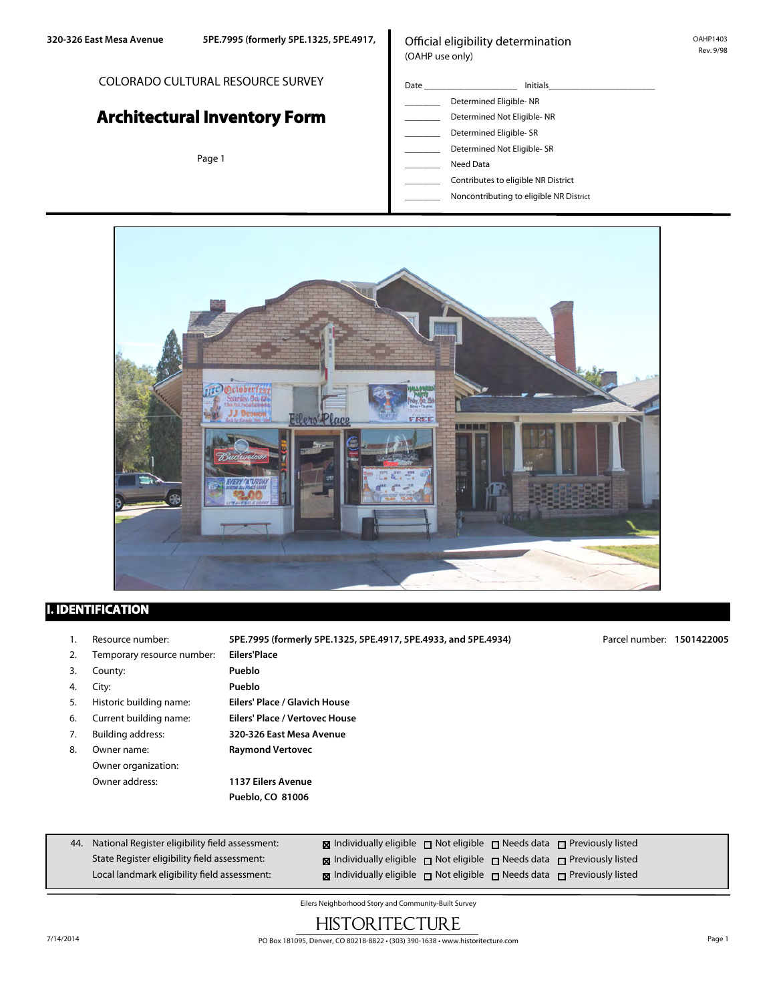#### COLORADO CULTURAL RESOURCE SURVEY

# **Architectural Inventory Form**

Page 1

## Official eligibility determination (OAHP use only)

- Date \_\_\_\_\_\_\_\_\_\_\_\_\_\_\_\_\_\_\_\_\_ Initials\_\_\_\_\_\_\_\_\_\_\_\_\_\_\_\_\_\_\_\_\_\_\_\_ Determined Eligible- NR
- \_\_\_\_\_\_\_\_ Determined Not Eligible- NR
- Determined Eligible- SR
- Determined Not Eligible- SR
- Need Data
- \_\_\_\_\_\_\_\_ Contributes to eligible NR District
- \_\_\_\_\_\_\_\_ Noncontributing to eligible NR District



## **I. IDENTIFICATION**

44. National Register eligibility field assessment: State Register eligibility field assessment: 1. Resource number: **5PE.7995 (formerly 5PE.1325, 5PE.4917, 5PE.4933, and 5PE.4934)** 2. Temporary resource number: **Eilers'Place** 3. County: **Pueblo** 4. City: **Pueblo** 5. Historic building name: **Eilers' Place / Glavich House** 6. Current building name: **Eilers' Place / Vertovec House** 7. Building address: **320-326 East Mesa Avenue** 8. Owner name: **Raymond Vertovec** Owner organization: Owner address: **1137 Eilers Avenue Pueblo, CO 81006 Individually eligible** not eligible needs data nerviously listed **Individually eligible** not eligible needs data nerviously listed Parcel number: **1501422005**

| Eilers Neighborhood Story and Community-Built Survey |  |
|------------------------------------------------------|--|

**Individually eligible** not eligible noteds data not Previously listed

## HISTORITECTURE

Local landmark eligibility field assessment: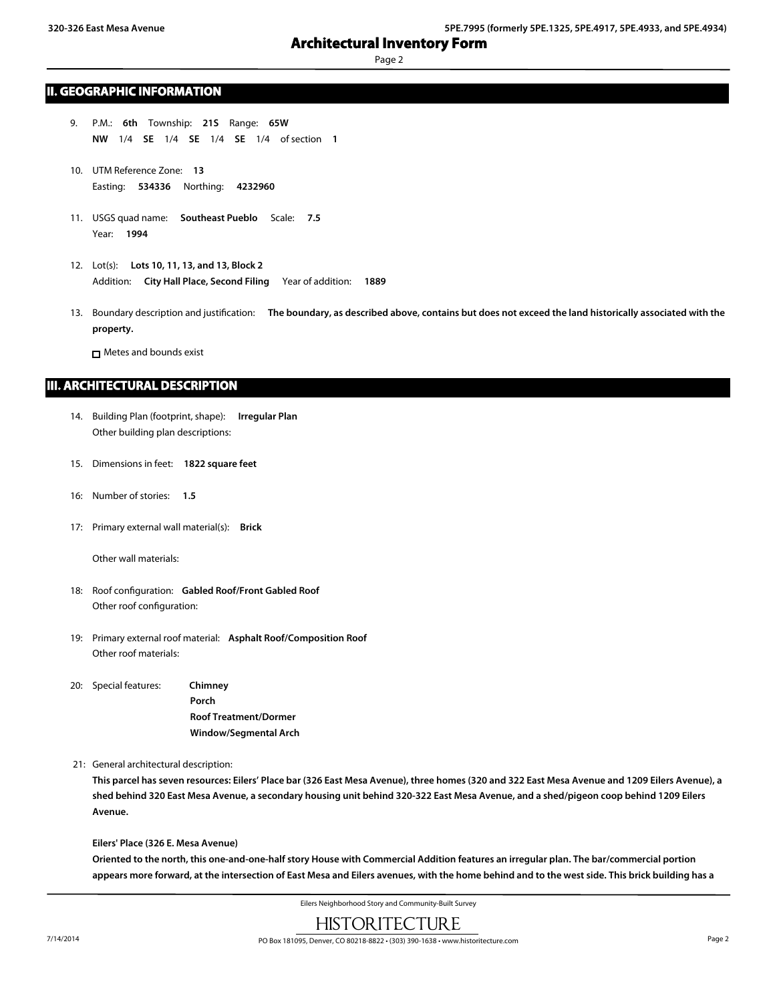Page 2

## **II. GEOGRAPHIC INFORMATION**

- 9. P.M.: **6th** Township: **21S** Range: **65W NW** 1/4 **SE** 1/4 **SE** 1/4 **SE** 1/4 of section **1**
- 10. UTM Reference Zone: **13** Easting: **534336** Northing: **4232960**
- 11. USGS quad name: **Southeast Pueblo** Scale: **7.5** Year: **1994**
- 12. Lot(s): **Lots 10, 11, 13, and 13, Block 2** Addition: **City Hall Place, Second Filing** Year of addition: **1889**
- 13. Boundary description and justification: **The boundary, as described above, contains but does not exceed the land historically associated with the property.**

Metes and bounds exist

### **III. ARCHITECTURAL DESCRIPTION**

- 14. Building Plan (footprint, shape): **Irregular Plan** Other building plan descriptions:
- 15. Dimensions in feet: **1822 square feet**
- 16: Number of stories: **1.5**
- 17: Primary external wall material(s): **Brick**

Other wall materials:

- 18: Roof configuration: **Gabled Roof/Front Gabled Roof** Other roof configuration:
- 19: Primary external roof material: **Asphalt Roof/Composition Roof** Other roof materials:
- 20: Special features: **Chimney Porch Roof Treatment/Dormer Window/Segmental Arch**

21: General architectural description:

**This parcel has seven resources: Eilers' Place bar (326 East Mesa Avenue), three homes (320 and 322 East Mesa Avenue and 1209 Eilers Avenue), a shed behind 320 East Mesa Avenue, a secondary housing unit behind 320-322 East Mesa Avenue, and a shed/pigeon coop behind 1209 Eilers Avenue.**

**Eilers' Place (326 E. Mesa Avenue)**

**Oriented to the north, this one-and-one-half story House with Commercial Addition features an irregular plan. The bar/commercial portion appears more forward, at the intersection of East Mesa and Eilers avenues, with the home behind and to the west side. This brick building has a**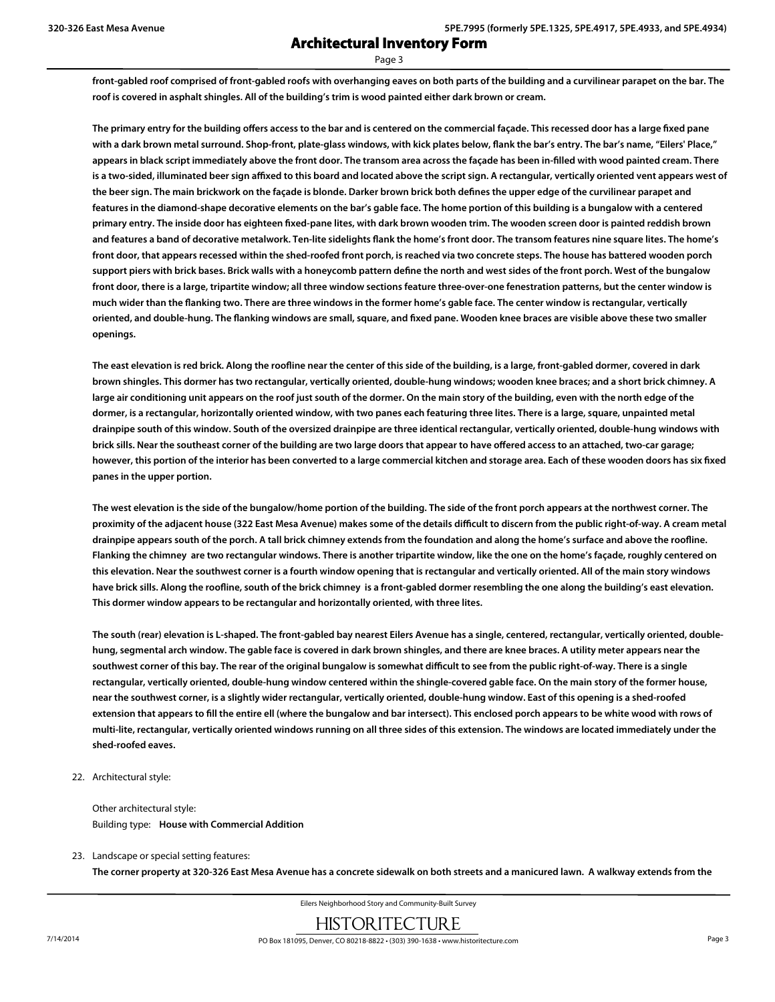Page 3

**front-gabled roof comprised of front-gabled roofs with overhanging eaves on both parts of the building and a curvilinear parapet on the bar. The roof is covered in asphalt shingles. All of the building's trim is wood painted either dark brown or cream.**

**The primary entry for the building offers access to the bar and is centered on the commercial façade. This recessed door has a large fixed pane** with a dark brown metal surround. Shop-front, plate-glass windows, with kick plates below, flank the bar's entry. The bar's name, "Eilers' Place," **appears in black script immediately above the front door. The transom area across the façade has been in-filled with wood painted cream. There is a two-sided, illuminated beer sign affixed to this board and located above the script sign. A rectangular, vertically oriented vent appears west of the beer sign. The main brickwork on the façade is blonde. Darker brown brick both defines the upper edge of the curvilinear parapet and features in the diamond-shape decorative elements on the bar's gable face. The home portion of this building is a bungalow with a centered primary entry. The inside door has eighteen fixed-pane lites, with dark brown wooden trim. The wooden screen door is painted reddish brown and features a band of decorative metalwork. Ten-lite sidelights flank the home's front door. The transom features nine square lites. The home's front door, that appears recessed within the shed-roofed front porch, is reached via two concrete steps. The house has battered wooden porch support piers with brick bases. Brick walls with a honeycomb pattern define the north and west sides of the front porch. West of the bungalow front door, there is a large, tripartite window; all three window sections feature three-over-one fenestration patterns, but the center window is much wider than the flanking two. There are three windows in the former home's gable face. The center window is rectangular, vertically oriented, and double-hung. The flanking windows are small, square, and fixed pane. Wooden knee braces are visible above these two smaller openings.**

**The east elevation is red brick. Along the roofline near the center of this side of the building, is a large, front-gabled dormer, covered in dark brown shingles. This dormer has two rectangular, vertically oriented, double-hung windows; wooden knee braces; and a short brick chimney. A large air conditioning unit appears on the roof just south of the dormer. On the main story of the building, even with the north edge of the dormer, is a rectangular, horizontally oriented window, with two panes each featuring three lites. There is a large, square, unpainted metal drainpipe south of this window. South of the oversized drainpipe are three identical rectangular, vertically oriented, double-hung windows with brick sills. Near the southeast corner of the building are two large doors that appear to have offered access to an attached, two-car garage; however, this portion of the interior has been converted to a large commercial kitchen and storage area. Each of these wooden doors has six fixed panes in the upper portion.**

**The west elevation is the side of the bungalow/home portion of the building. The side of the front porch appears at the northwest corner. The proximity of the adjacent house (322 East Mesa Avenue) makes some of the details difficult to discern from the public right-of-way. A cream metal drainpipe appears south of the porch. A tall brick chimney extends from the foundation and along the home's surface and above the roofline. Flanking the chimney are two rectangular windows. There is another tripartite window, like the one on the home's façade, roughly centered on this elevation. Near the southwest corner is a fourth window opening that is rectangular and vertically oriented. All of the main story windows have brick sills. Along the roofline, south of the brick chimney is a front-gabled dormer resembling the one along the building's east elevation. This dormer window appears to be rectangular and horizontally oriented, with three lites.**

**The south (rear) elevation is L-shaped. The front-gabled bay nearest Eilers Avenue has a single, centered, rectangular, vertically oriented, doublehung, segmental arch window. The gable face is covered in dark brown shingles, and there are knee braces. A utility meter appears near the southwest corner of this bay. The rear of the original bungalow is somewhat difficult to see from the public right-of-way. There is a single rectangular, vertically oriented, double-hung window centered within the shingle-covered gable face. On the main story of the former house, near the southwest corner, is a slightly wider rectangular, vertically oriented, double-hung window. East of this opening is a shed-roofed extension that appears to fill the entire ell (where the bungalow and bar intersect). This enclosed porch appears to be white wood with rows of multi-lite, rectangular, vertically oriented windows running on all three sides of this extension. The windows are located immediately under the shed-roofed eaves.**

22. Architectural style:

Other architectural style: Building type: **House with Commercial Addition**

23. Landscape or special setting features:

**The corner property at 320-326 East Mesa Avenue has a concrete sidewalk on both streets and a manicured lawn. A walkway extends from the**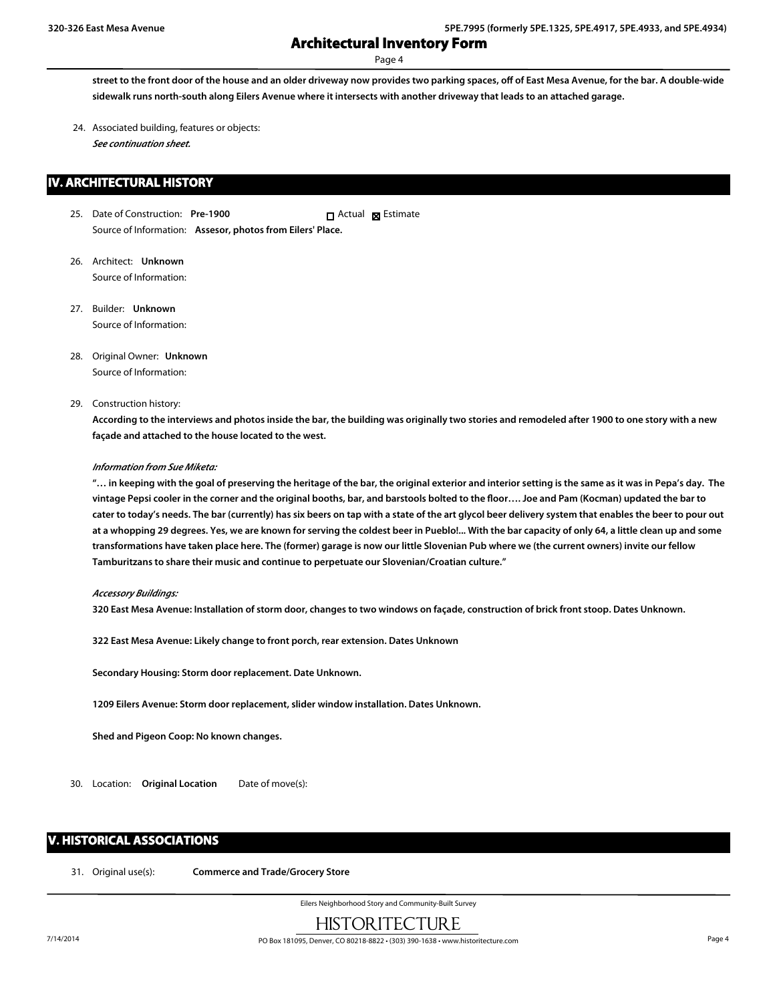Page 4

**street to the front door of the house and an older driveway now provides two parking spaces, off of East Mesa Avenue, for the bar. A double-wide sidewalk runs north-south along Eilers Avenue where it intersects with another driveway that leads to an attached garage.**

24. Associated building, features or objects: *See continuation sheet.*

## **IV. ARCHITECTURAL HISTORY**

- 25. Date of Construction: **Pre-1900** Source of Information: **Assesor, photos from Eilers' Place.** Actual **x** Estimate
- 26. Architect: **Unknown** Source of Information:
- 27. Builder: **Unknown** Source of Information:
- 28. Original Owner: **Unknown** Source of Information:
- 29. Construction history:

**According to the interviews and photos inside the bar, the building was originally two stories and remodeled after 1900 to one story with a new façade and attached to the house located to the west.**

#### *Information from Sue Miketa:*

**"… in keeping with the goal of preserving the heritage of the bar, the original exterior and interior setting is the same as it was in Pepa's day. The vintage Pepsi cooler in the corner and the original booths, bar, and barstools bolted to the floor…. Joe and Pam (Kocman) updated the bar to cater to today's needs. The bar (currently) has six beers on tap with a state of the art glycol beer delivery system that enables the beer to pour out at a whopping 29 degrees. Yes, we are known for serving the coldest beer in Pueblo!... With the bar capacity of only 64, a little clean up and some transformations have taken place here. The (former) garage is now our little Slovenian Pub where we (the current owners) invite our fellow Tamburitzans to share their music and continue to perpetuate our Slovenian/Croatian culture."**

#### *Accessory Buildings:*

**320 East Mesa Avenue: Installation of storm door, changes to two windows on façade, construction of brick front stoop. Dates Unknown.**

**322 East Mesa Avenue: Likely change to front porch, rear extension. Dates Unknown**

**Secondary Housing: Storm door replacement. Date Unknown.**

**1209 Eilers Avenue: Storm door replacement, slider window installation. Dates Unknown.**

**Shed and Pigeon Coop: No known changes.**

30. Location: **Original Location** Date of move(s):

## **V. HISTORICAL ASSOCIATIONS**

31. Original use(s): **Commerce and Trade/Grocery Store**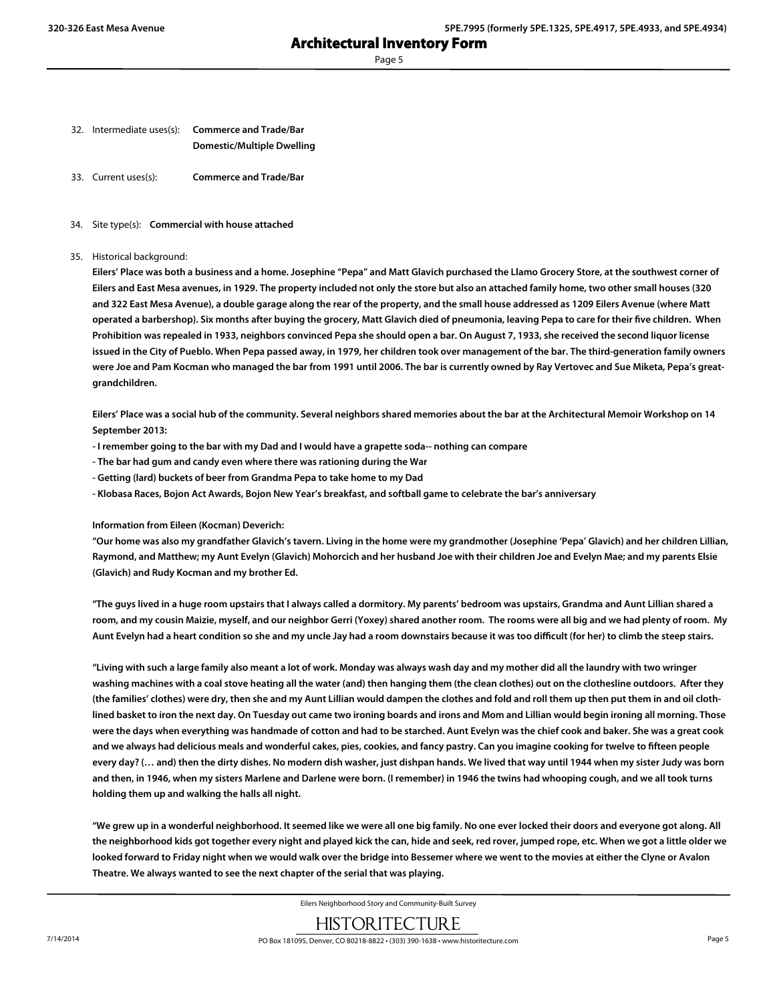Page 5

- 32. Intermediate uses(s): **Commerce and Trade/Bar Domestic/Multiple Dwelling**
- 33. Current uses(s): **Commerce and Trade/Bar**
- 34. Site type(s): **Commercial with house attached**
- 35. Historical background:

**Eilers' Place was both a business and a home. Josephine "Pepa" and Matt Glavich purchased the Llamo Grocery Store, at the southwest corner of Eilers and East Mesa avenues, in 1929. The property included not only the store but also an attached family home, two other small houses (320 and 322 East Mesa Avenue), a double garage along the rear of the property, and the small house addressed as 1209 Eilers Avenue (where Matt operated a barbershop). Six months after buying the grocery, Matt Glavich died of pneumonia, leaving Pepa to care for their five children. When Prohibition was repealed in 1933, neighbors convinced Pepa she should open a bar. On August 7, 1933, she received the second liquor license issued in the City of Pueblo. When Pepa passed away, in 1979, her children took over management of the bar. The third-generation family owners were Joe and Pam Kocman who managed the bar from 1991 until 2006. The bar is currently owned by Ray Vertovec and Sue Miketa, Pepa's greatgrandchildren.**

**Eilers' Place was a social hub of the community. Several neighbors shared memories about the bar at the Architectural Memoir Workshop on 14 September 2013:**

- **I remember going to the bar with my Dad and I would have a grapette soda-- nothing can compare**
- **The bar had gum and candy even where there was rationing during the War**
- **Getting (lard) buckets of beer from Grandma Pepa to take home to my Dad**
- **Klobasa Races, Bojon Act Awards, Bojon New Year's breakfast, and softball game to celebrate the bar's anniversary**

**Information from Eileen (Kocman) Deverich:**

**"Our home was also my grandfather Glavich's tavern. Living in the home were my grandmother (Josephine 'Pepa' Glavich) and her children Lillian, Raymond, and Matthew; my Aunt Evelyn (Glavich) Mohorcich and her husband Joe with their children Joe and Evelyn Mae; and my parents Elsie (Glavich) and Rudy Kocman and my brother Ed.**

**"The guys lived in a huge room upstairs that I always called a dormitory. My parents' bedroom was upstairs, Grandma and Aunt Lillian shared a room, and my cousin Maizie, myself, and our neighbor Gerri (Yoxey) shared another room. The rooms were all big and we had plenty of room. My Aunt Evelyn had a heart condition so she and my uncle Jay had a room downstairs because it was too difficult (for her) to climb the steep stairs.**

**"Living with such a large family also meant a lot of work. Monday was always wash day and my mother did all the laundry with two wringer washing machines with a coal stove heating all the water (and) then hanging them (the clean clothes) out on the clothesline outdoors. After they (the families' clothes) were dry, then she and my Aunt Lillian would dampen the clothes and fold and roll them up then put them in and oil clothlined basket to iron the next day. On Tuesday out came two ironing boards and irons and Mom and Lillian would begin ironing all morning. Those were the days when everything was handmade of cotton and had to be starched. Aunt Evelyn was the chief cook and baker. She was a great cook and we always had delicious meals and wonderful cakes, pies, cookies, and fancy pastry. Can you imagine cooking for twelve to fifteen people every day? (… and) then the dirty dishes. No modern dish washer, just dishpan hands. We lived that way until 1944 when my sister Judy was born and then, in 1946, when my sisters Marlene and Darlene were born. (I remember) in 1946 the twins had whooping cough, and we all took turns holding them up and walking the halls all night.**

**"We grew up in a wonderful neighborhood. It seemed like we were all one big family. No one ever locked their doors and everyone got along. All the neighborhood kids got together every night and played kick the can, hide and seek, red rover, jumped rope, etc. When we got a little older we looked forward to Friday night when we would walk over the bridge into Bessemer where we went to the movies at either the Clyne or Avalon Theatre. We always wanted to see the next chapter of the serial that was playing.**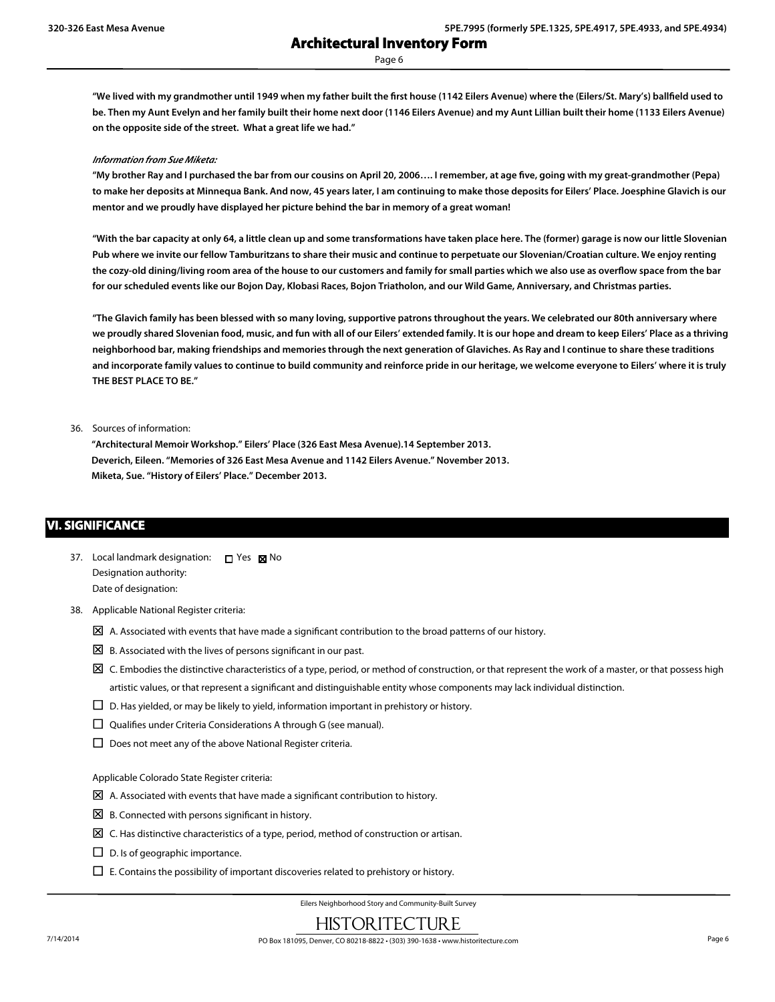Page 6

**"We lived with my grandmother until 1949 when my father built the first house (1142 Eilers Avenue) where the (Eilers/St. Mary's) ballfield used to be. Then my Aunt Evelyn and her family built their home next door (1146 Eilers Avenue) and my Aunt Lillian built their home (1133 Eilers Avenue) on the opposite side of the street. What a great life we had."**

#### *Information from Sue Miketa:*

**"My brother Ray and I purchased the bar from our cousins on April 20, 2006…. I remember, at age five, going with my great-grandmother (Pepa) to make her deposits at Minnequa Bank. And now, 45 years later, I am continuing to make those deposits for Eilers' Place. Joesphine Glavich is our mentor and we proudly have displayed her picture behind the bar in memory of a great woman!**

**"With the bar capacity at only 64, a little clean up and some transformations have taken place here. The (former) garage is now our little Slovenian Pub where we invite our fellow Tamburitzans to share their music and continue to perpetuate our Slovenian/Croatian culture. We enjoy renting the cozy-old dining/living room area of the house to our customers and family for small parties which we also use as overflow space from the bar for our scheduled events like our Bojon Day, Klobasi Races, Bojon Triatholon, and our Wild Game, Anniversary, and Christmas parties.**

**"The Glavich family has been blessed with so many loving, supportive patrons throughout the years. We celebrated our 80th anniversary where we proudly shared Slovenian food, music, and fun with all of our Eilers' extended family. It is our hope and dream to keep Eilers' Place as a thriving neighborhood bar, making friendships and memories through the next generation of Glaviches. As Ray and I continue to share these traditions and incorporate family values to continue to build community and reinforce pride in our heritage, we welcome everyone to Eilers' where it is truly THE BEST PLACE TO BE."**

#### 36. Sources of information:

**"Architectural Memoir Workshop." Eilers' Place (326 East Mesa Avenue).14 September 2013. Deverich, Eileen. "Memories of 326 East Mesa Avenue and 1142 Eilers Avenue." November 2013. Miketa, Sue. "History of Eilers' Place." December 2013.**

## **VI. SIGNIFICANCE**

- 37. Local landmark designation:  $\Box$  Yes  $\boxtimes$  No Designation authority: Date of designation:
- 38. Applicable National Register criteria:
	- $\boxtimes$  A. Associated with events that have made a significant contribution to the broad patterns of our history.
	- $\boxtimes$  B. Associated with the lives of persons significant in our past.
	- $\boxtimes$  C. Embodies the distinctive characteristics of a type, period, or method of construction, or that represent the work of a master, or that possess high artistic values, or that represent a significant and distinguishable entity whose components may lack individual distinction.
	- $\square$  D. Has yielded, or may be likely to yield, information important in prehistory or history.
	- $\square$  Qualifies under Criteria Considerations A through G (see manual).
	- $\square$  Does not meet any of the above National Register criteria.

Applicable Colorado State Register criteria:

- $\boxtimes$  A. Associated with events that have made a significant contribution to history.
- $\boxtimes$  B. Connected with persons significant in history.
- $\boxtimes$  C. Has distinctive characteristics of a type, period, method of construction or artisan.
- $\square$  D. Is of geographic importance.
- $\Box$  E. Contains the possibility of important discoveries related to prehistory or history.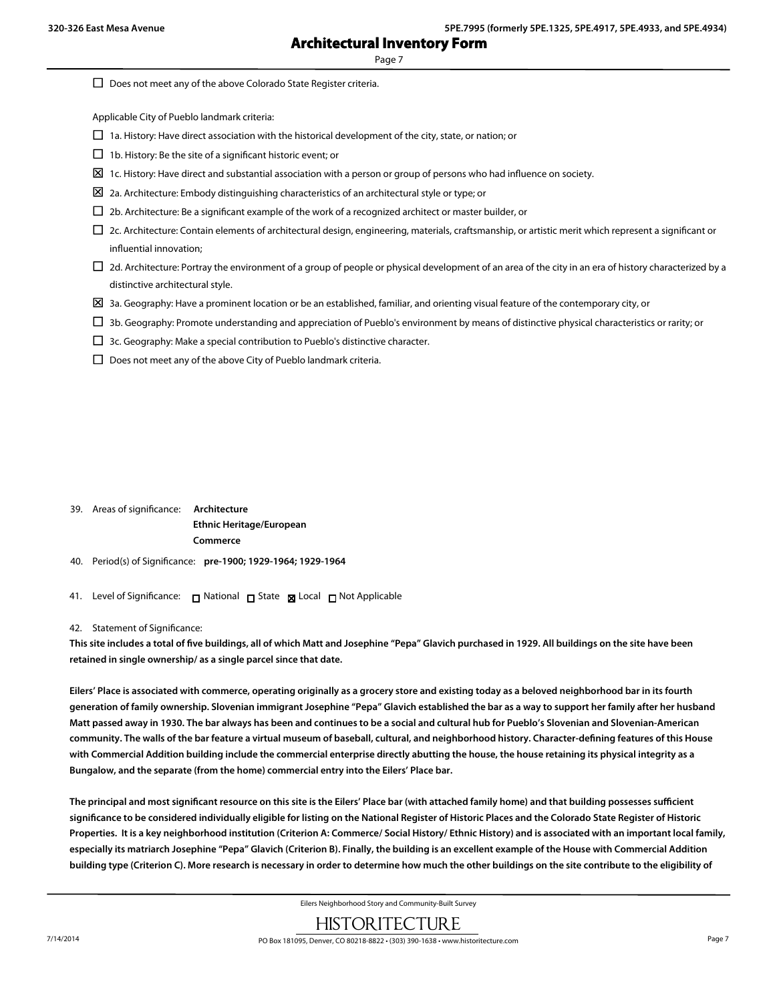Page 7

| Does not meet any of the above Colorado State Register criteria.                                                                                                |
|-----------------------------------------------------------------------------------------------------------------------------------------------------------------|
| Applicable City of Pueblo landmark criteria:                                                                                                                    |
| 1a. History: Have direct association with the historical development of the city, state, or nation; or<br>ப                                                     |
| 1b. History: Be the site of a significant historic event; or                                                                                                    |
| 1c. History: Have direct and substantial association with a person or group of persons who had influence on society.<br>⊠                                       |
| 2a. Architecture: Embody distinguishing characteristics of an architectural style or type; or<br>⊠                                                              |
| 2b. Architecture: Be a significant example of the work of a recognized architect or master builder, or<br>$\Box$                                                |
| 2c. Architecture: Contain elements of architectural design, engineering, materials, craftsmanship, or artistic merit which represent a significant or<br>$\Box$ |
| influential innovation;                                                                                                                                         |
| 2d. Architecture: Portray the environment of a group of people or physical development of an area of the city in an era of history characterized by a           |
| distinctive architectural style.                                                                                                                                |
| ⊠<br>3a. Geography: Have a prominent location or be an established, familiar, and orienting visual feature of the contemporary city, or                         |
| 3b. Geography: Promote understanding and appreciation of Pueblo's environment by means of distinctive physical characteristics or rarity; or                    |
| 3c. Geography: Make a special contribution to Pueblo's distinctive character.                                                                                   |

 $\square$  Does not meet any of the above City of Pueblo landmark criteria.

39. Areas of significance: **Architecture Ethnic Heritage/European Commerce**

- 40. Period(s) of Significance: **pre-1900; 1929-1964; 1929-1964**
- 41. Level of Significance: □ National □ State Local □ Not Applicable

#### 42. Statement of Significance:

**This site includes a total of five buildings, all of which Matt and Josephine "Pepa" Glavich purchased in 1929. All buildings on the site have been retained in single ownership/ as a single parcel since that date.**

**Eilers' Place is associated with commerce, operating originally as a grocery store and existing today as a beloved neighborhood bar in its fourth generation of family ownership. Slovenian immigrant Josephine "Pepa" Glavich established the bar as a way to support her family after her husband Matt passed away in 1930. The bar always has been and continues to be a social and cultural hub for Pueblo's Slovenian and Slovenian-American community. The walls of the bar feature a virtual museum of baseball, cultural, and neighborhood history. Character-defining features of this House with Commercial Addition building include the commercial enterprise directly abutting the house, the house retaining its physical integrity as a Bungalow, and the separate (from the home) commercial entry into the Eilers' Place bar.**

**The principal and most significant resource on this site is the Eilers' Place bar (with attached family home) and that building possesses sufficient significance to be considered individually eligible for listing on the National Register of Historic Places and the Colorado State Register of Historic Properties. It is a key neighborhood institution (Criterion A: Commerce/ Social History/ Ethnic History) and is associated with an important local family, especially its matriarch Josephine "Pepa" Glavich (Criterion B). Finally, the building is an excellent example of the House with Commercial Addition building type (Criterion C). More research is necessary in order to determine how much the other buildings on the site contribute to the eligibility of**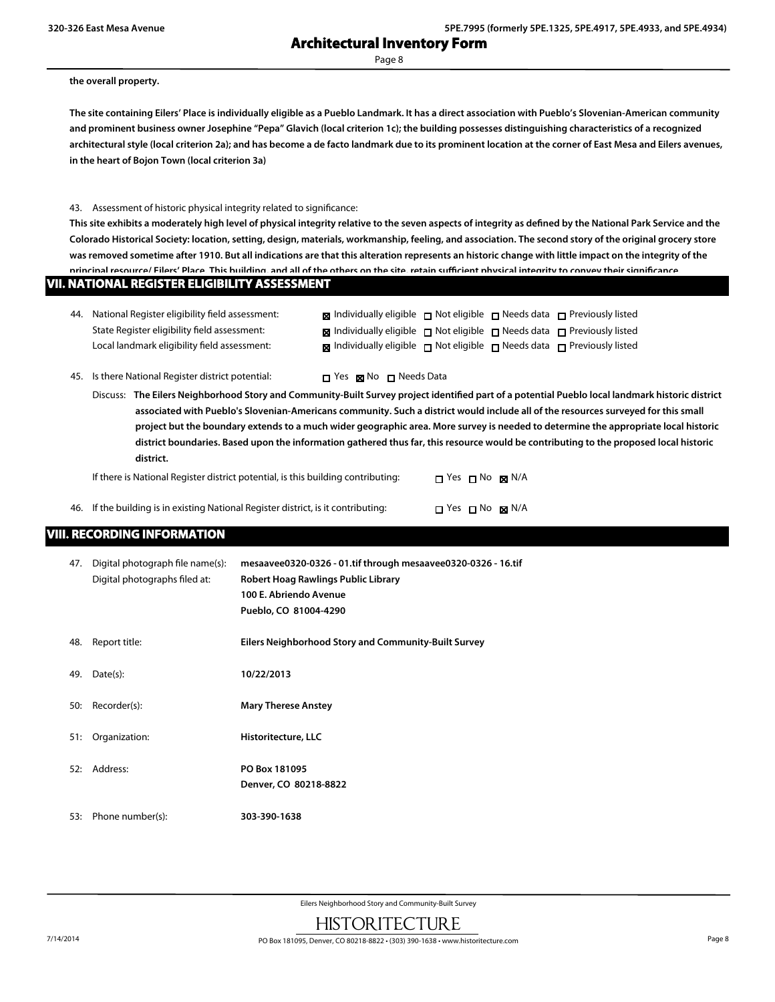Page 8

#### **the overall property.**

**The site containing Eilers' Place is individually eligible as a Pueblo Landmark. It has a direct association with Pueblo's Slovenian-American community and prominent business owner Josephine "Pepa" Glavich (local criterion 1c); the building possesses distinguishing characteristics of a recognized architectural style (local criterion 2a); and has become a de facto landmark due to its prominent location at the corner of East Mesa and Eilers avenues, in the heart of Bojon Town (local criterion 3a)**

#### 43. Assessment of historic physical integrity related to significance:

**This site exhibits a moderately high level of physical integrity relative to the seven aspects of integrity as defined by the National Park Service and the Colorado Historical Society: location, setting, design, materials, workmanship, feeling, and association. The second story of the original grocery store was removed sometime after 1910. But all indications are that this alteration represents an historic change with little impact on the integrity of the principal resource/ Eilers' Place. This building, and all of the others on the site, retain sufficient physical integrity to convey their significance.**

| 44. National Register eligibility field assessment: | <b>x</b> Individually eligible $\Box$ Not eligible $\Box$ Needs data $\Box$ Previously listed    |  |  |
|-----------------------------------------------------|--------------------------------------------------------------------------------------------------|--|--|
| State Register eligibility field assessment:        | <b>x</b> Individually eligible $\Box$ Not eligible $\Box$ Needs data $\Box$ Previously listed    |  |  |
| Local landmark eligibility field assessment:        | $\boxtimes$ Individually eligible $\Box$ Not eligible $\Box$ Needs data $\Box$ Previously listed |  |  |

45. Is there National Register district potential:  $\Box$  Yes  $\boxtimes$  No  $\Box$  Needs Data

Discuss: **The Eilers Neighborhood Story and Community-Built Survey project identified part of a potential Pueblo local landmark historic district associated with Pueblo's Slovenian-Americans community. Such a district would include all of the resources surveyed for this small project but the boundary extends to a much wider geographic area. More survey is needed to determine the appropriate local historic district boundaries. Based upon the information gathered thus far, this resource would be contributing to the proposed local historic district.**

If there is National Register district potential, is this building contributing:  $\Box$  Yes  $\Box$  No  $\Box$  N/A

| 46. If the building is in existing National Register district, is it contributing: | $\Box$ Yes $\Box$ No $\boxtimes$ N/A |
|------------------------------------------------------------------------------------|--------------------------------------|
|                                                                                    |                                      |

## **VIII. RECORDING INFORMATION**

| 47. | Digital photograph file name(s):<br>Digital photographs filed at: | mesaavee0320-0326 - 01.tif through mesaavee0320-0326 - 16.tif<br>Robert Hoag Rawlings Public Library<br>100 E. Abriendo Avenue<br>Pueblo, CO 81004-4290 |
|-----|-------------------------------------------------------------------|---------------------------------------------------------------------------------------------------------------------------------------------------------|
| 48. | Report title:                                                     | Eilers Neighborhood Story and Community-Built Survey                                                                                                    |
| 49. | Date(s):                                                          | 10/22/2013                                                                                                                                              |
| 50: | Recorder(s):                                                      | <b>Mary Therese Anstey</b>                                                                                                                              |
| 51: | Organization:                                                     | Historitecture, LLC                                                                                                                                     |
| 52: | Address:                                                          | PO Box 181095<br>Denver, CO 80218-8822                                                                                                                  |
| 53: | Phone number(s):                                                  | 303-390-1638                                                                                                                                            |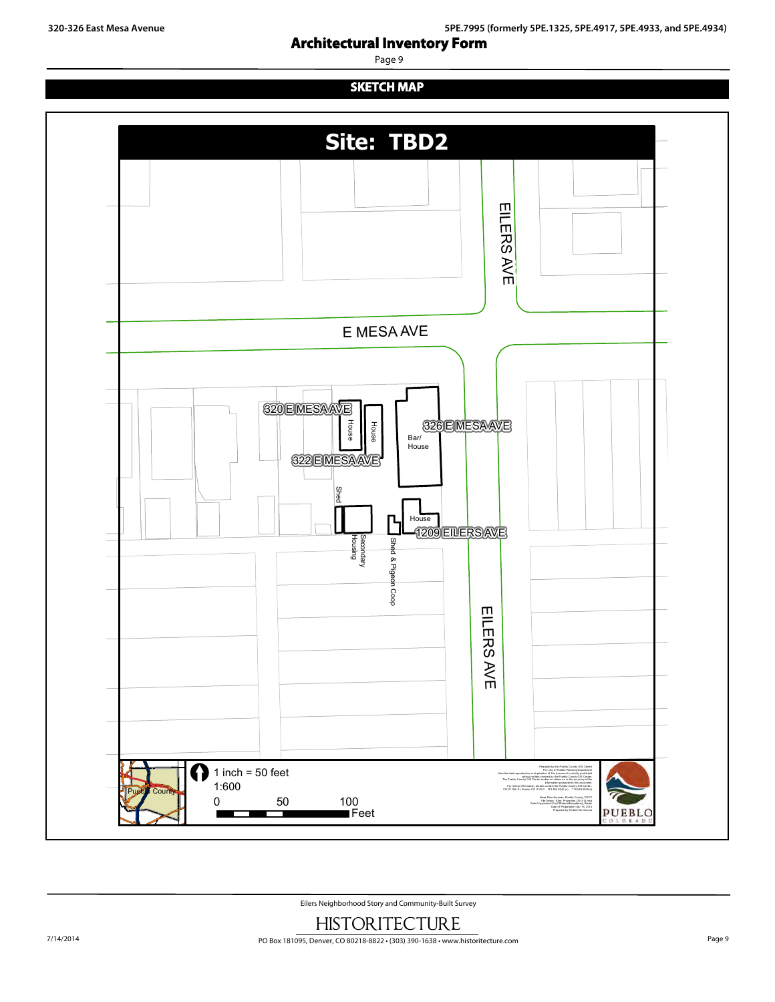Page 9

## **SKETCH MAP**

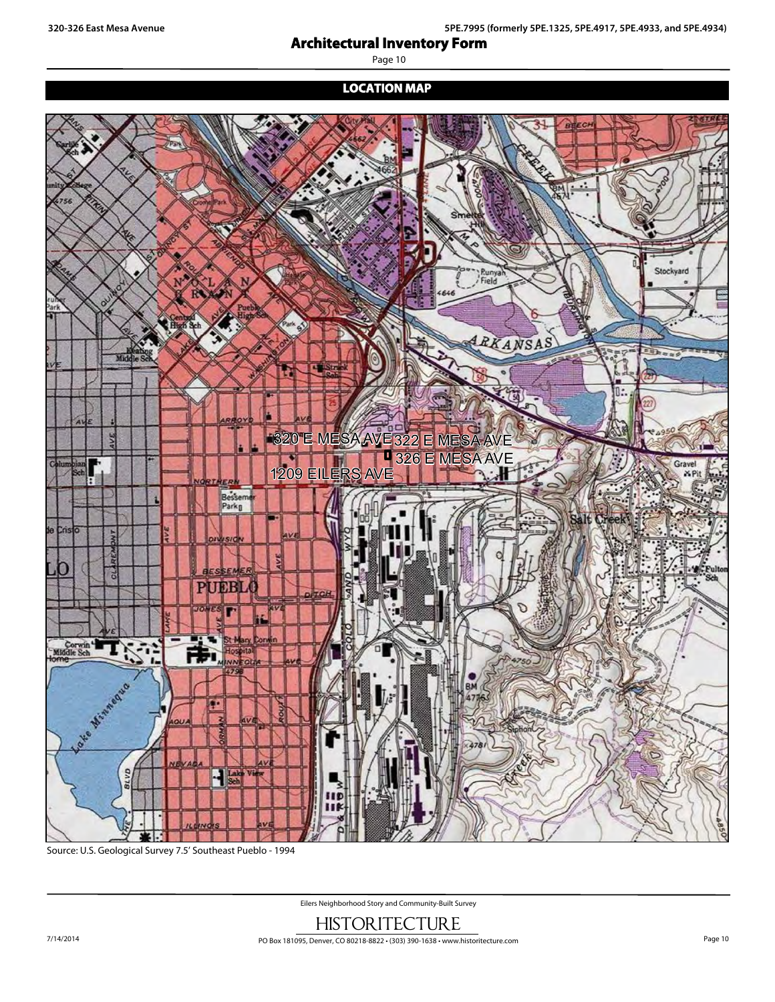# **Architectural Inventory Form Site:**<br> **Site:**<br> **Site:**

Page 10

## **LOCATION MAP**







Eilers Neighborhood Story and Community-Built Survey

HISTORITECTURE Feet 7/14/2014 PO Box 181095, Denver, CO 80218-8822 • (303) 390-1638 • www.historitecture.com Page 10

without written consent by the Pueblo County Gissell County Gissell County Gissell County Gissell County Gissell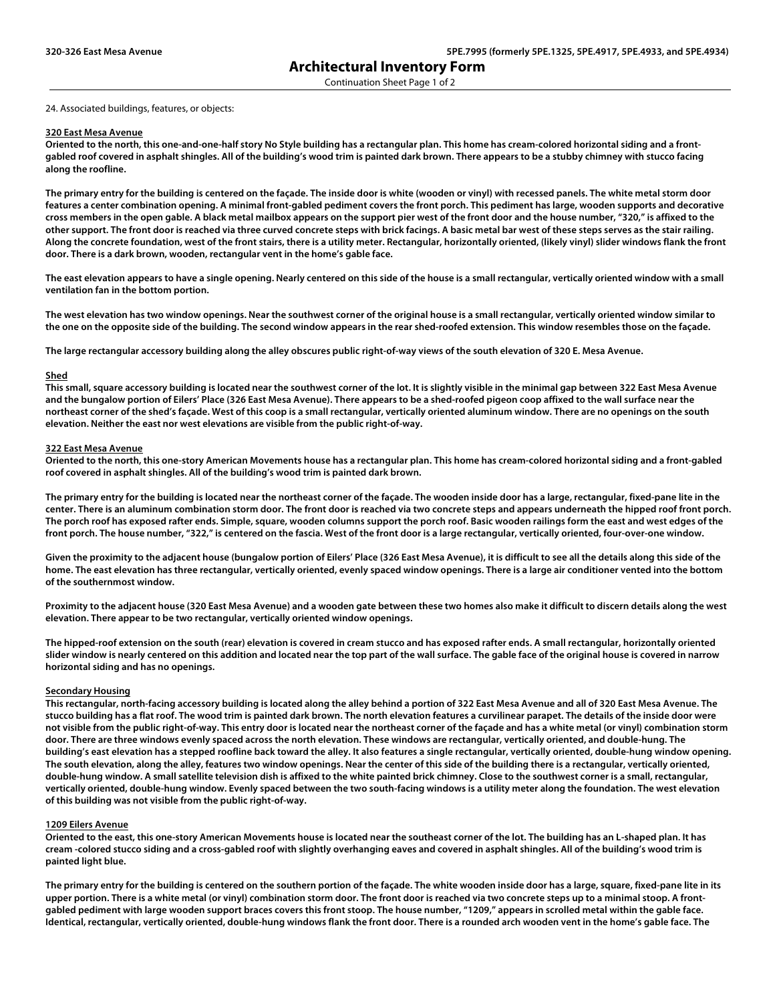Continuation Sheet Page 1 of 2

24. Associated buildings, features, or objects:

#### **320 East Mesa Avenue**

**Oriented to the north, this one-and-one-half story No Style building has a rectangular plan. This home has cream-colored horizontal siding and a frontgabled roof covered in asphalt shingles. All of the building's wood trim is painted dark brown. There appears to be a stubby chimney with stucco facing along the roofline.** 

**The primary entry for the building is centered on the façade. The inside door is white (wooden or vinyl) with recessed panels. The white metal storm door features a center combination opening. A minimal front-gabled pediment covers the front porch. This pediment has large, wooden supports and decorative cross members in the open gable. A black metal mailbox appears on the support pier west of the front door and the house number, "320," is affixed to the other support. The front door is reached via three curved concrete steps with brick facings. A basic metal bar west of these steps serves as the stair railing. Along the concrete foundation, west of the front stairs, there is a utility meter. Rectangular, horizontally oriented, (likely vinyl) slider windows flank the front door. There is a dark brown, wooden, rectangular vent in the home's gable face.** 

**The east elevation appears to have a single opening. Nearly centered on this side of the house is a small rectangular, vertically oriented window with a small ventilation fan in the bottom portion.** 

**The west elevation has two window openings. Near the southwest corner of the original house is a small rectangular, vertically oriented window similar to the one on the opposite side of the building. The second window appears in the rear shed-roofed extension. This window resembles those on the façade.** 

**The large rectangular accessory building along the alley obscures public right-of-way views of the south elevation of 320 E. Mesa Avenue.**

#### **Shed**

**This small, square accessory building is located near the southwest corner of the lot. It is slightly visible in the minimal gap between 322 East Mesa Avenue and the bungalow portion of Eilers' Place (326 East Mesa Avenue). There appears to be a shed-roofed pigeon coop affixed to the wall surface near the northeast corner of the shed's façade. West of this coop is a small rectangular, vertically oriented aluminum window. There are no openings on the south elevation. Neither the east nor west elevations are visible from the public right-of-way.**

#### **322 East Mesa Avenue**

**Oriented to the north, this one-story American Movements house has a rectangular plan. This home has cream-colored horizontal siding and a front-gabled roof covered in asphalt shingles. All of the building's wood trim is painted dark brown.** 

**The primary entry for the building is located near the northeast corner of the façade. The wooden inside door has a large, rectangular, fixed-pane lite in the center. There is an aluminum combination storm door. The front door is reached via two concrete steps and appears underneath the hipped roof front porch.**  The porch roof has exposed rafter ends. Simple, square, wooden columns support the porch roof. Basic wooden railings form the east and west edges of the **front porch. The house number, "322," is centered on the fascia. West of the front door is a large rectangular, vertically oriented, four-over-one window.** 

**Given the proximity to the adjacent house (bungalow portion of Eilers' Place (326 East Mesa Avenue), it is difficult to see all the details along this side of the home. The east elevation has three rectangular, vertically oriented, evenly spaced window openings. There is a large air conditioner vented into the bottom of the southernmost window.** 

**Proximity to the adjacent house (320 East Mesa Avenue) and a wooden gate between these two homes also make it difficult to discern details along the west elevation. There appear to be two rectangular, vertically oriented window openings.** 

**The hipped-roof extension on the south (rear) elevation is covered in cream stucco and has exposed rafter ends. A small rectangular, horizontally oriented slider window is nearly centered on this addition and located near the top part of the wall surface. The gable face of the original house is covered in narrow horizontal siding and has no openings.**

#### **Secondary Housing**

**This rectangular, north-facing accessory building is located along the alley behind a portion of 322 East Mesa Avenue and all of 320 East Mesa Avenue. The stucco building has a flat roof. The wood trim is painted dark brown. The north elevation features a curvilinear parapet. The details of the inside door were not visible from the public right-of-way. This entry door is located near the northeast corner of the façade and has a white metal (or vinyl) combination storm door. There are three windows evenly spaced across the north elevation. These windows are rectangular, vertically oriented, and double-hung. The building's east elevation has a stepped roofline back toward the alley. It also features a single rectangular, vertically oriented, double-hung window opening. The south elevation, along the alley, features two window openings. Near the center of this side of the building there is a rectangular, vertically oriented, double-hung window. A small satellite television dish is affixed to the white painted brick chimney. Close to the southwest corner is a small, rectangular, vertically oriented, double-hung window. Evenly spaced between the two south-facing windows is a utility meter along the foundation. The west elevation of this building was not visible from the public right-of-way.**

#### **1209 Eilers Avenue**

**Oriented to the east, this one-story American Movements house is located near the southeast corner of the lot. The building has an L-shaped plan. It has cream -colored stucco siding and a cross-gabled roof with slightly overhanging eaves and covered in asphalt shingles. All of the building's wood trim is painted light blue.** 

**The primary entry for the building is centered on the southern portion of the façade. The white wooden inside door has a large, square, fixed-pane lite in its upper portion. There is a white metal (or vinyl) combination storm door. The front door is reached via two concrete steps up to a minimal stoop. A frontgabled pediment with large wooden support braces covers this front stoop. The house number, "1209," appears in scrolled metal within the gable face. Identical, rectangular, vertically oriented, double-hung windows flank the front door. There is a rounded arch wooden vent in the home's gable face. The**